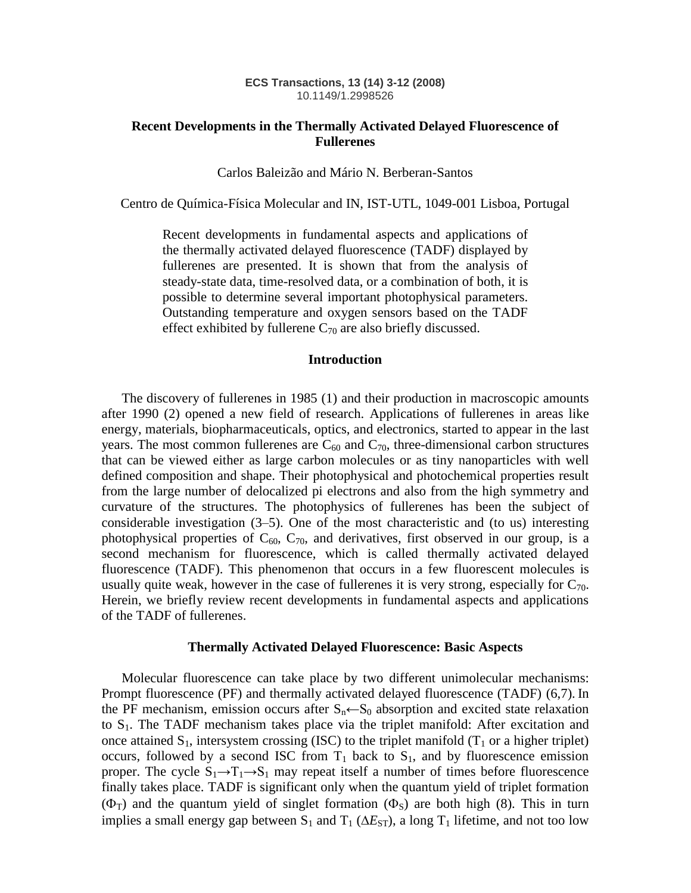#### **ECS Transactions, 13 (14) 3-12 (2008)** 10.1149/1.2998526

# **Recent Developments in the Thermally Activated Delayed Fluorescence of Fullerenes**

#### Carlos Baleizão and Mário N. Berberan-Santos

Centro de Química-Física Molecular and IN, IST-UTL, 1049-001 Lisboa, Portugal

Recent developments in fundamental aspects and applications of the thermally activated delayed fluorescence (TADF) displayed by fullerenes are presented. It is shown that from the analysis of steady-state data, time-resolved data, or a combination of both, it is possible to determine several important photophysical parameters. Outstanding temperature and oxygen sensors based on the TADF effect exhibited by fullerene  $C_{70}$  are also briefly discussed.

### **Introduction**

The discovery of fullerenes in 1985 (1) and their production in macroscopic amounts after 1990 (2) opened a new field of research. Applications of fullerenes in areas like energy, materials, biopharmaceuticals, optics, and electronics, started to appear in the last years. The most common fullerenes are  $C_{60}$  and  $C_{70}$ , three-dimensional carbon structures that can be viewed either as large carbon molecules or as tiny nanoparticles with well defined composition and shape. Their photophysical and photochemical properties result from the large number of delocalized pi electrons and also from the high symmetry and curvature of the structures. The photophysics of fullerenes has been the subject of considerable investigation (3–5). One of the most characteristic and (to us) interesting photophysical properties of  $C_{60}$ ,  $C_{70}$ , and derivatives, first observed in our group, is a second mechanism for fluorescence, which is called thermally activated delayed fluorescence (TADF). This phenomenon that occurs in a few fluorescent molecules is usually quite weak, however in the case of fullerenes it is very strong, especially for  $C_{70}$ . Herein, we briefly review recent developments in fundamental aspects and applications of the TADF of fullerenes.

#### **Thermally Activated Delayed Fluorescence: Basic Aspects**

Molecular fluorescence can take place by two different unimolecular mechanisms: Prompt fluorescence (PF) and thermally activated delayed fluorescence (TADF) (6,7). In the PF mechanism, emission occurs after  $S_n \leftarrow S_0$  absorption and excited state relaxation to  $S_1$ . The TADF mechanism takes place via the triplet manifold: After excitation and once attained  $S_1$ , intersystem crossing (ISC) to the triplet manifold ( $T_1$  or a higher triplet) occurs, followed by a second ISC from  $T_1$  back to  $S_1$ , and by fluorescence emission proper. The cycle  $S_1 \rightarrow T_1 \rightarrow S_1$  may repeat itself a number of times before fluorescence finally takes place. TADF is significant only when the quantum yield of triplet formation  $(\Phi_T)$  and the quantum yield of singlet formation  $(\Phi_S)$  are both high (8). This in turn implies a small energy gap between  $S_1$  and  $T_1$  ( $\Delta E_{ST}$ ), a long  $T_1$  lifetime, and not too low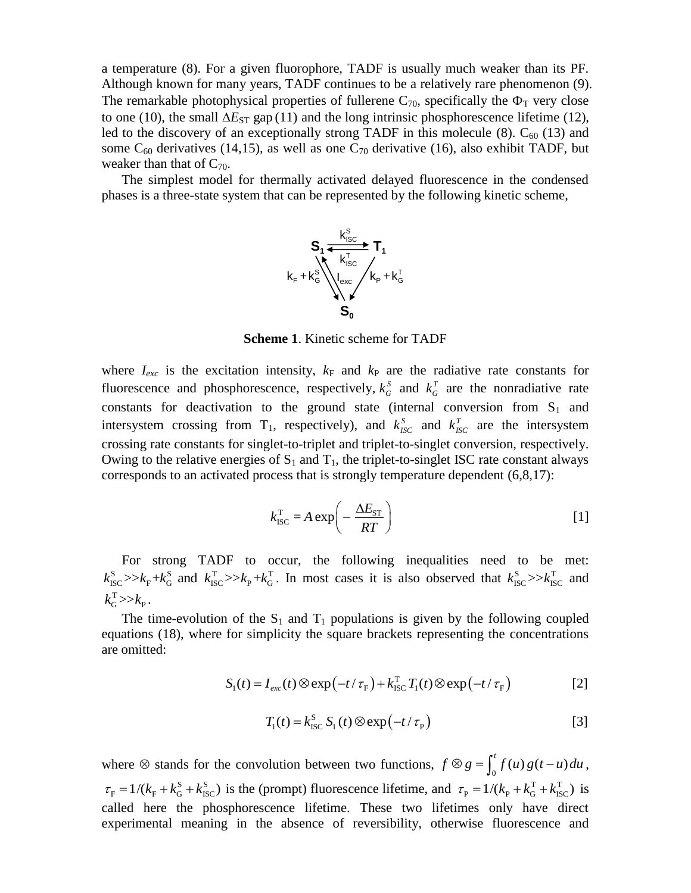a temperature (8). For a given fluorophore, TADF is usually much weaker than its PF. Although known for many years, TADF continues to be a relatively rare phenomenon (9). The remarkable photophysical properties of fullerene  $C_{70}$ , specifically the  $\Phi_T$  very close to one (10), the small  $\Delta E_{ST}$  gap (11) and the long intrinsic phosphorescence lifetime (12), led to the discovery of an exceptionally strong TADF in this molecule  $(8)$ .  $C_{60}$  (13) and some  $C_{60}$  derivatives (14,15), as well as one  $C_{70}$  derivative (16), also exhibit TADF, but weaker than that of  $C_{70}$ .

The simplest model for thermally activated delayed fluorescence in the condensed phases is a three-state system that can be represented by the following kinetic scheme,



**Scheme 1**. Kinetic scheme for TADF

where  $I_{exc}$  is the excitation intensity,  $k_F$  and  $k_P$  are the radiative rate constants for fluorescence and phosphorescence, respectively,  $k_G^S$  $k_G^S$  and  $k_G^T$  $k_G^T$  are the nonradiative rate constants for deactivation to the ground state (internal conversion from  $S_1$  and intersystem crossing from T<sub>1</sub>, respectively), and  $k_{ISC}^s$  and  $k_{ISC}^T$  are the intersystem crossing rate constants for singlet-to-triplet and triplet-to-singlet conversion, respectively. Owing to the relative energies of  $S_1$  and  $T_1$ , the triplet-to-singlet ISC rate constant always corresponds to an activated process that is strongly temperature dependent (6,8,17):

$$
k_{\text{ISC}}^{\text{T}} = A \exp\left(-\frac{\Delta E_{\text{ST}}}{RT}\right)
$$
 [1]

For strong TADF to occur, the following inequalities need to be met: For strong TADF to occur, the following inequalities need to be met:<br> $k_{\text{ISC}}^{\text{s}} >> k_{\text{F}} + k_{\text{G}}^{\text{s}}$  and  $k_{\text{ISC}}^{\text{T}} >> k_{\text{P}} + k_{\text{G}}^{\text{T}}$ . In most cases it is also observed that  $k_{\text{ISC}}^{\text{s}} >> k_{\text{ISC}}^{\text{T}}$  and  $k_G^{\rm T} >> k_{\rm P}$  .

The time-evolution of the  $S_1$  and  $T_1$  populations is given by the following coupled equations (18), where for simplicity the square brackets representing the concentrations are omitted:

$$
S_1(t) = I_{exc}(t) \otimes \exp(-t/\tau_{F}) + k_{\text{ISC}}^{\text{T}} T_1(t) \otimes \exp(-t/\tau_{F})
$$
 [2]

$$
T_1(t) = k_{\text{ISC}}^S S_1(t) \otimes \exp(-t/\tau_{\text{P}})
$$
 [3]

where  $\otimes$  stands for the convolution between two functions,  $f \otimes g = \int_0^t f(u) g(t-u) du$ ,  $\tau_F = 1/(k_F + k_G^S + k_{\text{ISC}}^S)$  is the (prompt) fluorescence lifetime, and  $\tau_P = 1/(k_P + k_G^T + k_{\text{ISC}}^T)$  is called here the phosphorescence lifetime. These two lifetimes only have direct experimental meaning in the absence of reversibility, otherwise fluorescence and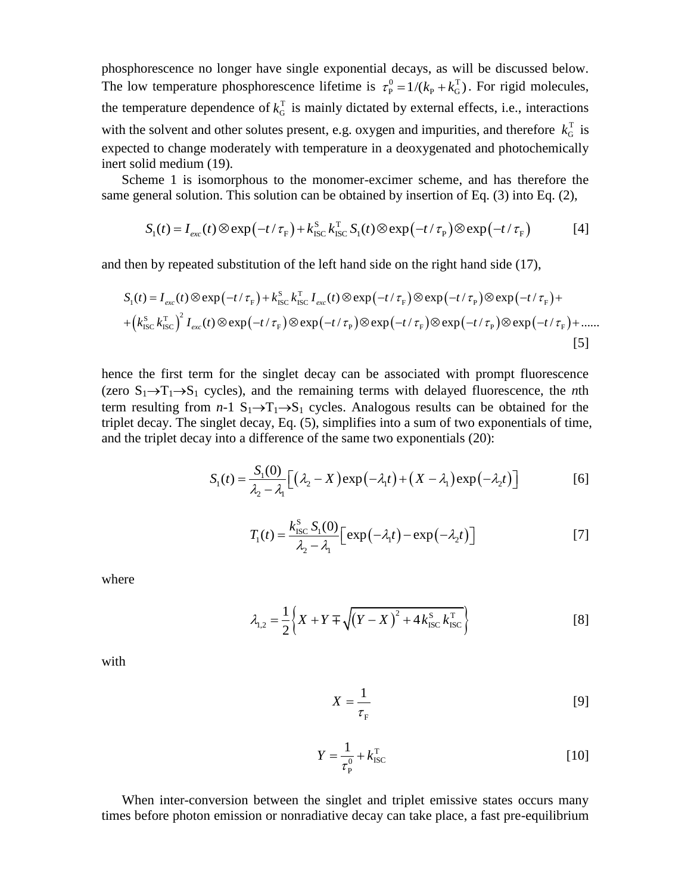phosphorescence no longer have single exponential decays, as will be discussed below. The low temperature phosphorescence lifetime is  $\tau_{\rm p}^0 = 1/(k_{\rm p} + k_{\rm G}^{\rm T})$ . For rigid molecules, the temperature dependence of  $k_G^T$  $k_G^T$  is mainly dictated by external effects, i.e., interactions with the solvent and other solutes present, e.g. oxygen and impurities, and therefore  $k_G^T$  $k_G^{\text{T}}$  is expected to change moderately with temperature in a deoxygenated and photochemically inert solid medium (19).

Scheme 1 is isomorphous to the monomer-excimer scheme, and has therefore the same general solution. This solution can be obtained by insertion of Eq. (3) into Eq. (2),<br>  $S_1(t) = I_{\text{max}}(t) \otimes \exp(-t/\tau_{\text{min}}) + k_{\text{res}}^S k_{\text{res}}^T S_1(t) \otimes \exp(-t/\tau_{\text{min}}) \otimes \exp(-t/\tau_{\text{min}})$  [4] 1 Is isomorphous to the monomer-excimer scheme, and has therefore the<br>neral solution. This solution can be obtained by insertion of Eq. (3) into Eq. (2),<br> $S_1(t) = I_{exc}(t) \otimes \exp(-t/\tau_F) + k_{\text{ISC}}^S k_{\text{ISC}}^T S_1(t) \otimes \exp(-t/\tau_F) \otimes \exp(-t/\$ 

$$
S_1(t) = I_{exc}(t) \otimes \exp(-t/\tau_{F}) + k_{\text{ISC}}^S k_{\text{ISC}}^T S_1(t) \otimes \exp(-t/\tau_{F}) \otimes \exp(-t/\tau_{F})
$$
 [4]

and then by repeated substitution of the left hand side on the right hand side (17),  
\n
$$
S_1(t) = I_{exc}(t) \otimes \exp(-t/\tau_F) + k_{ISC}^S k_{ISC}^T I_{exc}(t) \otimes \exp(-t/\tau_F) \otimes \exp(-t/\tau_F) \otimes \exp(-t/\tau_F) + (k_{ISC}^S k_{ISC}^T)^2 I_{exc}(t) \otimes \exp(-t/\tau_F) \otimes \exp(-t/\tau_F) \otimes \exp(-t/\tau_F) \otimes \exp(-t/\tau_F) \otimes \exp(-t/\tau_F)
$$
\n[5]

hence the first term for the singlet decay can be associated with prompt fluorescence (zero  $S_1 \rightarrow T_1 \rightarrow S_1$  cycles), and the remaining terms with delayed fluorescence, the *n*th term resulting from  $n-1$   $S_1 \rightarrow T_1 \rightarrow S_1$  cycles. Analogous results can be obtained for the triplet decay. The singlet decay, Eq. (5), simplifies into a sum of two exponentials of time, and the triplet decay into a difference of the same two exponentials (20):

$$
S_1(t) = \frac{S_1(0)}{\lambda_2 - \lambda_1} \Big[ \big( \lambda_2 - X \big) \exp\big( -\lambda_1 t \big) + \big( X - \lambda_1 \big) \exp\big( -\lambda_2 t \big) \Big] \tag{6}
$$

$$
T_1(t) = \frac{k_{\text{ISC}}^S S_1(0)}{\lambda_2 - \lambda_1} \Big[ \exp\left(-\lambda_1 t\right) - \exp\left(-\lambda_2 t\right) \Big] \tag{7}
$$

where

$$
\lambda_{1,2} = \frac{1}{2} \left\{ X + Y \mp \sqrt{(Y - X)^2 + 4 k_{\text{ISC}}^S k_{\text{ISC}}^T} \right\}
$$
 [8]

with

$$
X = \frac{1}{\tau_{\rm F}}\tag{9}
$$

$$
Y = \frac{1}{\tau_{\rm p}^0} + k_{\rm ISC}^{\rm T}
$$
 [10]

When inter-conversion between the singlet and triplet emissive states occurs many times before photon emission or nonradiative decay can take place, a fast pre-equilibrium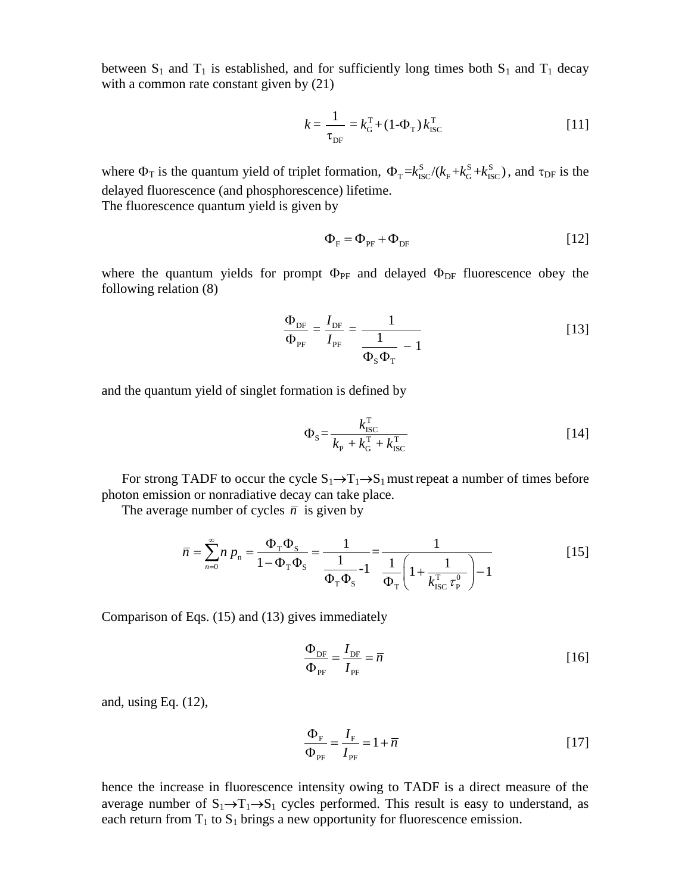between  $S_1$  and  $T_1$  is established, and for sufficiently long times both  $S_1$  and  $T_1$  decay with a common rate constant given by  $(21)$ 

$$
k = \frac{1}{\tau_{DF}} = k_G^{\text{T}} + (1 - \Phi_{\text{T}}) k_{\text{ISC}}^{\text{T}}
$$
 [11]

where  $\Phi_T$  is the quantum yield of triplet formation,  $\Phi_T = k_{\text{ISC}}^S / (k_{\text{F}} + k_{\text{G}}^S + k_{\text{ISC}}^S)$ , and  $\tau_{\text{DF}}$  is the delayed fluorescence (and phosphorescence) lifetime. The fluorescence quantum yield is given by

$$
\Phi_{\rm F} = \Phi_{\rm PF} + \Phi_{\rm DF} \tag{12}
$$

where the quantum yields for prompt  $\Phi_{PF}$  and delayed  $\Phi_{DF}$  fluorescence obey the following relation (8)

$$
\frac{\Phi_{\rm DF}}{\Phi_{\rm PF}} = \frac{I_{\rm DF}}{I_{\rm PF}} = \frac{1}{\frac{1}{\Phi_{\rm S}\Phi_{\rm T}} - 1}
$$
\n(13)

and the quantum yield of singlet formation is defined by

$$
\Phi_{\rm s} = \frac{k_{\rm \,BC}^{\rm T}}{k_{\rm p} + k_{\rm G}^{\rm T} + k_{\rm \,BC}^{\rm T}}
$$
\n[14]

For strong TADF to occur the cycle  $S_1 \rightarrow T_1 \rightarrow S_1$  must repeat a number of times before photon emission or nonradiative decay can take place.

The average number of cycles 
$$
\overline{n}
$$
 is given by  
\n
$$
\overline{n} = \sum_{n=0}^{\infty} n p_n = \frac{\Phi_{\rm T} \Phi_{\rm S}}{1 - \Phi_{\rm T} \Phi_{\rm S}} = \frac{1}{\frac{1}{\Phi_{\rm T} \Phi_{\rm S}} - 1} = \frac{1}{\frac{1}{\Phi_{\rm T}} \left(1 + \frac{1}{k_{\rm ISC}^{\rm T} \tau_{\rm P}^0}\right) - 1}
$$
\n[15]

Comparison of Eqs. (15) and (13) gives immediately

$$
\frac{\Phi_{\rm DF}}{\Phi_{\rm PF}} = \frac{I_{\rm DF}}{I_{\rm PF}} = \overline{n}
$$
\n[16]

and, using Eq. (12),

$$
\frac{\Phi_{\rm F}}{\Phi_{\rm PF}} = \frac{I_{\rm F}}{I_{\rm PF}} = 1 + \bar{n}
$$
\n[17]

hence the increase in fluorescence intensity owing to TADF is a direct measure of the average number of  $S_1 \rightarrow T_1 \rightarrow S_1$  cycles performed. This result is easy to understand, as each return from  $T_1$  to  $S_1$  brings a new opportunity for fluorescence emission.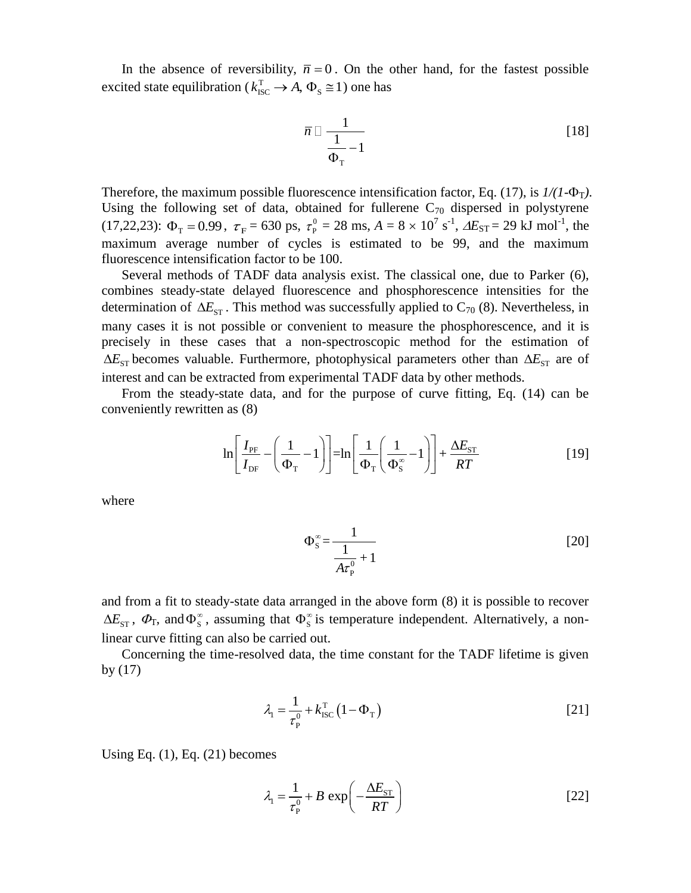In the absence of reversibility,  $\bar{n} = 0$ . On the other hand, for the fastest possible excited state equilibration ( $k_{\text{ISC}}^{\text{T}} \rightarrow A$ ,  $\Phi_{\text{S}} \cong 1$ ) one has

$$
\bar{n} \Box \frac{1}{\frac{1}{\Phi_{\rm T}} - 1} \tag{18}
$$

Therefore, the maximum possible fluorescence intensification factor, Eq. (17), is  $1/(1-\Phi_T)$ . Using the following set of data, obtained for fullerene  $C_{70}$  dispersed in polystyrene (17,22,23):  $\Phi_{\rm T} = 0.99$ ,  $\tau_{\rm F} = 630$  ps,  $\tau_{\rm P}^0$  $\tau_{\rm P}^0 = 28 \text{ ms}, A = 8 \times 10^7 \text{ s}^{-1}, \Delta E_{\rm ST} = 29 \text{ kJ} \text{ mol}^{-1}, \text{ the}$ maximum average number of cycles is estimated to be 99, and the maximum fluorescence intensification factor to be 100.

Several methods of TADF data analysis exist. The classical one, due to Parker (6), combines steady-state delayed fluorescence and phosphorescence intensities for the determination of  $\Delta E_{ST}$ . This method was successfully applied to  $C_{70}$  (8). Nevertheless, in many cases it is not possible or convenient to measure the phosphorescence, and it is precisely in these cases that a non-spectroscopic method for the estimation of  $\Delta E_{ST}$  becomes valuable. Furthermore, photophysical parameters other than  $\Delta E_{ST}$  are of interest and can be extracted from experimental TADF data by other methods.

From the steady-state data, and for the purpose of curve fitting, Eq. (14) can be conveniently rewritten as (8)

$$
\ln\left[\frac{I_{\text{PF}}}{I_{\text{DF}}}-\left(\frac{1}{\Phi_{\text{T}}}-1\right)\right]=\ln\left[\frac{1}{\Phi_{\text{T}}}\left(\frac{1}{\Phi_{\text{S}}^{\infty}}-1\right)\right]+\frac{\Delta E_{\text{ST}}}{RT}
$$
\n[19]

where

$$
\Phi_{\rm S}^{\infty} = \frac{1}{\frac{1}{A\tau_{\rm P}^0} + 1} \tag{20}
$$

and from a fit to steady-state data arranged in the above form (8) it is possible to recover  $\Delta E_{ST}$ ,  $\Phi_T$ , and  $\Phi_S^{\infty}$ , assuming that  $\Phi_S^{\infty}$  is temperature independent. Alternatively, a nonlinear curve fitting can also be carried out.

Concerning the time-resolved data, the time constant for the TADF lifetime is given by (17)

$$
\lambda_{1} = \frac{1}{\tau_{P}^{0}} + k_{\text{ISC}}^{\text{T}} \left( 1 - \Phi_{\text{T}} \right)
$$
 [21]

Using Eq.  $(1)$ , Eq.  $(21)$  becomes

$$
\lambda_1 = \frac{1}{\tau_{\rm P}^0} + B \, \exp\left(-\frac{\Delta E_{\rm ST}}{RT}\right) \tag{22}
$$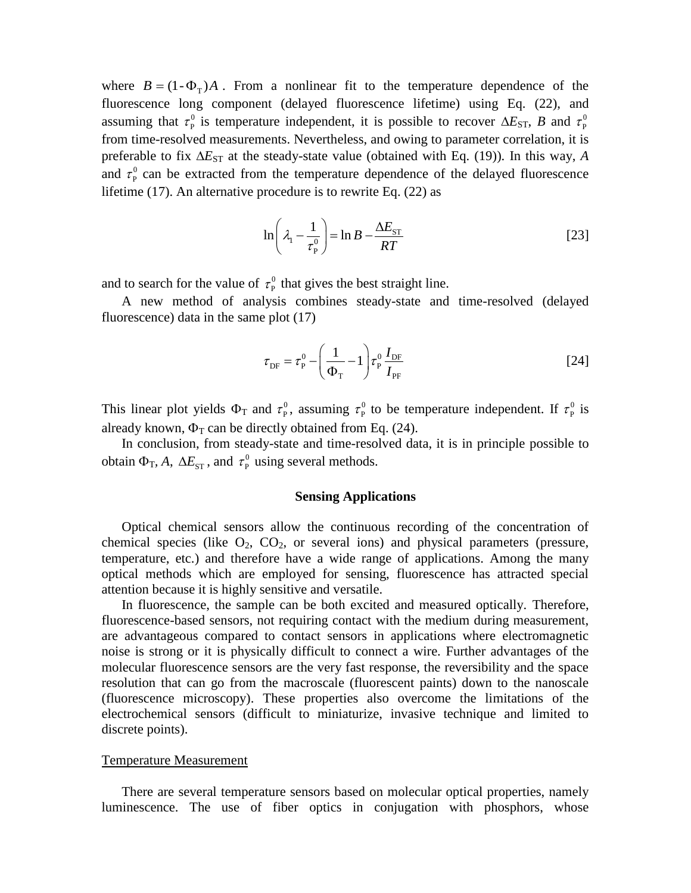where  $B = (1 - \Phi_{T})A$ . From a nonlinear fit to the temperature dependence of the fluorescence long component (delayed fluorescence lifetime) using Eq. (22), and assuming that  $\tau_{\rm p}^0$  $\tau_{\rm P}^0$  is temperature independent, it is possible to recover  $\Delta E_{\rm ST}$ , *B* and  $\tau_{\rm P}^0$  $\tau_{\rm p}$ from time-resolved measurements. Nevertheless, and owing to parameter correlation, it is preferable to fix  $\Delta E_{ST}$  at the steady-state value (obtained with Eq. (19)). In this way, *A* and  $\tau_{\rm p}^0$  $\tau_{\rm P}^0$  can be extracted from the temperature dependence of the delayed fluorescence lifetime (17). An alternative procedure is to rewrite Eq. (22) as

$$
\ln\left(\lambda_1 - \frac{1}{\tau_P^0}\right) = \ln B - \frac{\Delta E_{ST}}{RT}
$$
 [23]

and to search for the value of  $\tau_{\rm p}^0$  $\tau_{\rm P}^0$  that gives the best straight line.

A new method of analysis combines steady-state and time-resolved (delayed fluorescence) data in the same plot (17)

$$
\tau_{\rm DF} = \tau_{\rm P}^0 - \left(\frac{1}{\Phi_{\rm T}} - 1\right) \tau_{\rm P}^0 \frac{I_{\rm DF}}{I_{\rm PF}}
$$
 [24]

This linear plot yields  $\Phi_T$  and  $\tau_P^0$  $\tau_{\rm P}^0$ , assuming  $\tau_{\rm P}^0$  $\tau_{\rm p}^{\rm 0}$  to be temperature independent. If  $\tau_{\rm p}^{\rm 0}$  $\tau_{\rm P}^0$  is already known,  $\Phi_T$  can be directly obtained from Eq. (24).

In conclusion, from steady-state and time-resolved data, it is in principle possible to obtain  $\Phi_{\text{T}}$ , A,  $\Delta E_{\text{ST}}$ , and  $\tau_{\text{P}}^0$  $\tau_{\rm P}^0$  using several methods.

# **Sensing Applications**

Optical chemical sensors allow the continuous recording of the concentration of chemical species (like  $O_2$ ,  $CO_2$ , or several ions) and physical parameters (pressure, temperature, etc.) and therefore have a wide range of applications. Among the many optical methods which are employed for sensing, fluorescence has attracted special attention because it is highly sensitive and versatile.

In fluorescence, the sample can be both excited and measured optically. Therefore, fluorescence-based sensors, not requiring contact with the medium during measurement, are advantageous compared to contact sensors in applications where electromagnetic noise is strong or it is physically difficult to connect a wire. Further advantages of the molecular fluorescence sensors are the very fast response, the reversibility and the space resolution that can go from the macroscale (fluorescent paints) down to the nanoscale (fluorescence microscopy). These properties also overcome the limitations of the electrochemical sensors (difficult to miniaturize, invasive technique and limited to discrete points).

### Temperature Measurement

There are several temperature sensors based on molecular optical properties, namely luminescence. The use of fiber optics in conjugation with phosphors, whose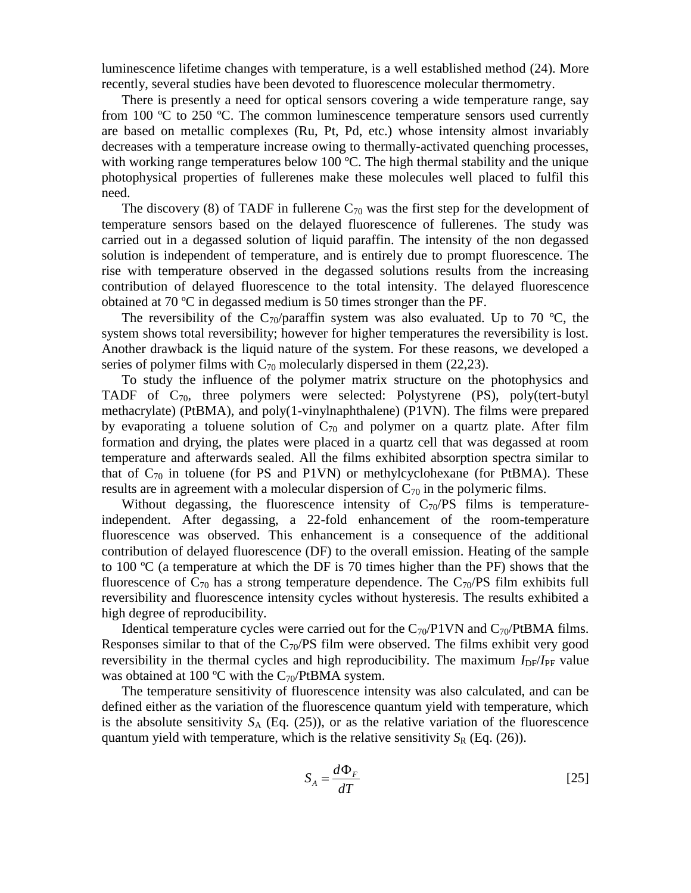luminescence lifetime changes with temperature, is a well established method (24). More recently, several studies have been devoted to fluorescence molecular thermometry.

There is presently a need for optical sensors covering a wide temperature range, say from 100 ºC to 250 ºC. The common luminescence temperature sensors used currently are based on metallic complexes (Ru, Pt, Pd, etc.) whose intensity almost invariably decreases with a temperature increase owing to thermally-activated quenching processes, with working range temperatures below 100  $^{\circ}$ C. The high thermal stability and the unique photophysical properties of fullerenes make these molecules well placed to fulfil this need.

The discovery (8) of TADF in fullerene  $C_{70}$  was the first step for the development of temperature sensors based on the delayed fluorescence of fullerenes. The study was carried out in a degassed solution of liquid paraffin. The intensity of the non degassed solution is independent of temperature, and is entirely due to prompt fluorescence. The rise with temperature observed in the degassed solutions results from the increasing contribution of delayed fluorescence to the total intensity. The delayed fluorescence obtained at 70 ºC in degassed medium is 50 times stronger than the PF.

The reversibility of the C<sub>70</sub>/paraffin system was also evaluated. Up to 70 °C, the system shows total reversibility; however for higher temperatures the reversibility is lost. Another drawback is the liquid nature of the system. For these reasons, we developed a series of polymer films with  $C_{70}$  molecularly dispersed in them (22,23).

To study the influence of the polymer matrix structure on the photophysics and TADF of  $C_{70}$ , three polymers were selected: Polystyrene (PS), poly(tert-butyl methacrylate) (PtBMA), and poly(1-vinylnaphthalene) (P1VN). The films were prepared by evaporating a toluene solution of  $C_{70}$  and polymer on a quartz plate. After film formation and drying, the plates were placed in a quartz cell that was degassed at room temperature and afterwards sealed. All the films exhibited absorption spectra similar to that of  $C_{70}$  in toluene (for PS and P1VN) or methylcyclohexane (for PtBMA). These results are in agreement with a molecular dispersion of  $C_{70}$  in the polymeric films.

Without degassing, the fluorescence intensity of  $C_{70}/PS$  films is temperatureindependent. After degassing, a 22-fold enhancement of the room-temperature fluorescence was observed. This enhancement is a consequence of the additional contribution of delayed fluorescence (DF) to the overall emission. Heating of the sample to 100  $\rm{^{\circ}C}$  (a temperature at which the DF is 70 times higher than the PF) shows that the fluorescence of  $C_{70}$  has a strong temperature dependence. The  $C_{70}$ /PS film exhibits full reversibility and fluorescence intensity cycles without hysteresis. The results exhibited a high degree of reproducibility.

Identical temperature cycles were carried out for the  $C_{70}/P1$ VN and  $C_{70}/PtBMA$  films. Responses similar to that of the  $C_{70}/PS$  film were observed. The films exhibit very good reversibility in the thermal cycles and high reproducibility. The maximum  $I_{DF}/I_{PF}$  value was obtained at 100 °C with the  $C_{70}$ /PtBMA system.

The temperature sensitivity of fluorescence intensity was also calculated, and can be defined either as the variation of the fluorescence quantum yield with temperature, which is the absolute sensitivity  $S_A$  (Eq. (25)), or as the relative variation of the fluorescence quantum yield with temperature, which is the relative sensitivity  $S_R$  (Eq. (26)).

$$
S_A = \frac{d\Phi_F}{dT}
$$
 [25]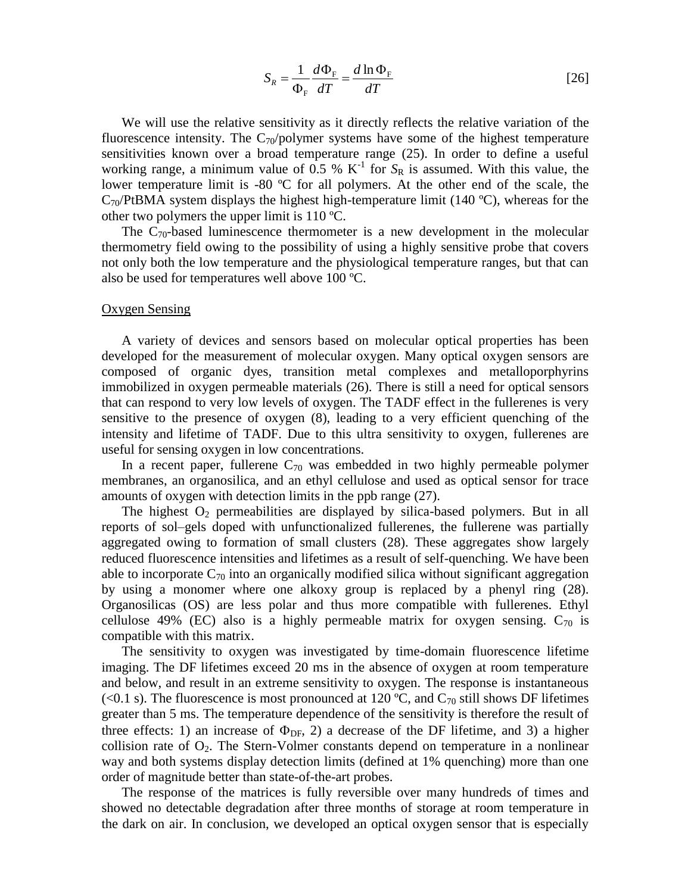$$
S_R = \frac{1}{\Phi_F} \frac{d\Phi_F}{dT} = \frac{d\ln\Phi_F}{dT}
$$
 [26]

We will use the relative sensitivity as it directly reflects the relative variation of the fluorescence intensity. The  $C_{70}/p$ olymer systems have some of the highest temperature sensitivities known over a broad temperature range (25). In order to define a useful working range, a minimum value of 0.5 %  $K^{-1}$  for  $S_R$  is assumed. With this value, the lower temperature limit is -80 ºC for all polymers. At the other end of the scale, the  $C_{70}$ /PtBMA system displays the highest high-temperature limit (140 °C), whereas for the other two polymers the upper limit is 110 ºC.

The  $C_{70}$ -based luminescence thermometer is a new development in the molecular thermometry field owing to the possibility of using a highly sensitive probe that covers not only both the low temperature and the physiological temperature ranges, but that can also be used for temperatures well above 100 ºC.

#### Oxygen Sensing

A variety of devices and sensors based on molecular optical properties has been developed for the measurement of molecular oxygen. Many optical oxygen sensors are composed of organic dyes, transition metal complexes and metalloporphyrins immobilized in oxygen permeable materials (26). There is still a need for optical sensors that can respond to very low levels of oxygen. The TADF effect in the fullerenes is very sensitive to the presence of oxygen (8), leading to a very efficient quenching of the intensity and lifetime of TADF. Due to this ultra sensitivity to oxygen, fullerenes are useful for sensing oxygen in low concentrations.

In a recent paper, fullerene  $C_{70}$  was embedded in two highly permeable polymer membranes, an organosilica, and an ethyl cellulose and used as optical sensor for trace amounts of oxygen with detection limits in the ppb range (27).

The highest  $O_2$  permeabilities are displayed by silica-based polymers. But in all reports of sol–gels doped with unfunctionalized fullerenes, the fullerene was partially aggregated owing to formation of small clusters (28). These aggregates show largely reduced fluorescence intensities and lifetimes as a result of self-quenching. We have been able to incorporate  $C_{70}$  into an organically modified silica without significant aggregation by using a monomer where one alkoxy group is replaced by a phenyl ring (28). Organosilicas (OS) are less polar and thus more compatible with fullerenes. Ethyl cellulose 49% (EC) also is a highly permeable matrix for oxygen sensing.  $C_{70}$  is compatible with this matrix.

The sensitivity to oxygen was investigated by time-domain fluorescence lifetime imaging. The DF lifetimes exceed 20 ms in the absence of oxygen at room temperature and below, and result in an extreme sensitivity to oxygen. The response is instantaneous (<0.1 s). The fluorescence is most pronounced at 120 °C, and  $C_{70}$  still shows DF lifetimes greater than 5 ms. The temperature dependence of the sensitivity is therefore the result of three effects: 1) an increase of  $\Phi_{DF}$ , 2) a decrease of the DF lifetime, and 3) a higher collision rate of  $O_2$ . The Stern-Volmer constants depend on temperature in a nonlinear way and both systems display detection limits (defined at 1% quenching) more than one order of magnitude better than state-of-the-art probes.

The response of the matrices is fully reversible over many hundreds of times and showed no detectable degradation after three months of storage at room temperature in the dark on air. In conclusion, we developed an optical oxygen sensor that is especially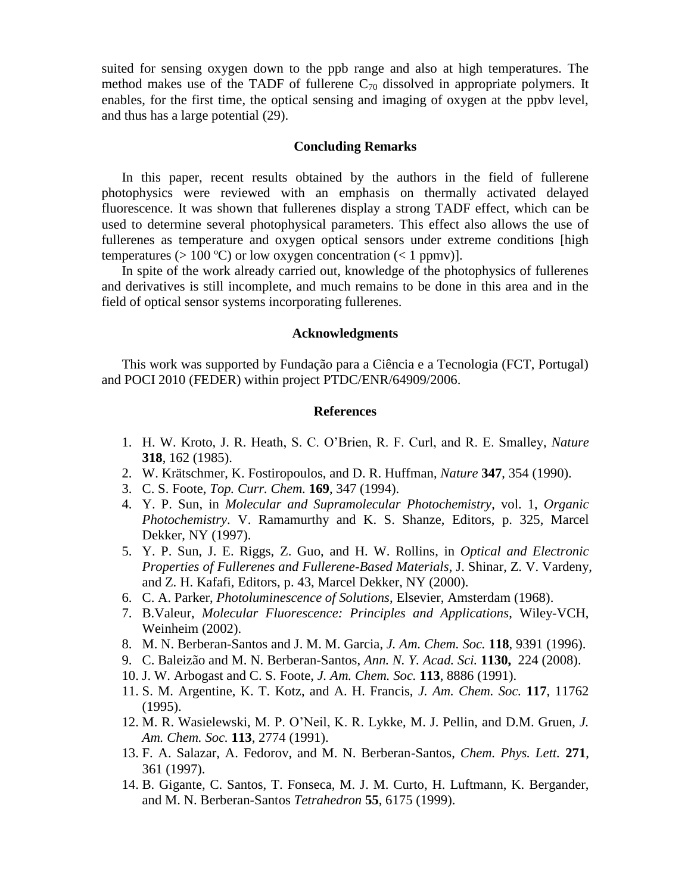suited for sensing oxygen down to the ppb range and also at high temperatures. The method makes use of the TADF of fullerene  $C_{70}$  dissolved in appropriate polymers. It enables, for the first time, the optical sensing and imaging of oxygen at the ppbv level, and thus has a large potential (29).

# **Concluding Remarks**

In this paper, recent results obtained by the authors in the field of fullerene photophysics were reviewed with an emphasis on thermally activated delayed fluorescence. It was shown that fullerenes display a strong TADF effect, which can be used to determine several photophysical parameters. This effect also allows the use of fullerenes as temperature and oxygen optical sensors under extreme conditions [high temperatures ( $> 100 \degree C$ ) or low oxygen concentration ( $< 1$  ppmv)].

In spite of the work already carried out, knowledge of the photophysics of fullerenes and derivatives is still incomplete, and much remains to be done in this area and in the field of optical sensor systems incorporating fullerenes.

## **Acknowledgments**

This work was supported by Fundação para a Ciência e a Tecnologia (FCT, Portugal) and POCI 2010 (FEDER) within project PTDC/ENR/64909/2006.

### **References**

- 1. H. W. Kroto, J. R. Heath, S. C. O'Brien, R. F. Curl, and R. E. Smalley, *Nature* **318**, 162 (1985).
- 2. W. Krätschmer, K. Fostiropoulos, and D. R. Huffman, *Nature* **347**, 354 (1990).
- 3. C. S. Foote, *Top. Curr. Chem.* **169**, 347 (1994).
- 4. Y. P. Sun, in *Molecular and Supramolecular Photochemistry*, vol. 1, *Organic Photochemistry*. V. Ramamurthy and K. S. Shanze, Editors, p. 325, Marcel Dekker, NY (1997).
- 5. Y. P. Sun, J. E. Riggs, Z. Guo, and H. W. Rollins, in *Optical and Electronic Properties of Fullerenes and Fullerene-Based Materials*, J. Shinar, Z. V. Vardeny, and Z. H. Kafafi, Editors, p. 43, Marcel Dekker, NY (2000).
- 6. C. A. Parker, *Photoluminescence of Solutions*, Elsevier, Amsterdam (1968).
- 7. B.Valeur, *Molecular Fluorescence: Principles and Applications*, Wiley-VCH, Weinheim (2002).
- 8. M. N. Berberan-Santos and J. M. M. Garcia, *J. Am. Chem. Soc.* **118**, 9391 (1996).
- 9. C. Baleizão and M. N. Berberan-Santos, *Ann. N. Y. Acad. Sci.* **1130,** 224 (2008).
- 10. J. W. Arbogast and C. S. Foote, *J. Am. Chem. Soc.* **113**, 8886 (1991).
- 11. S. M. Argentine, K. T. Kotz, and A. H. Francis, *J. Am. Chem. Soc.* **117**, 11762 (1995).
- 12. M. R. Wasielewski, M. P. O'Neil, K. R. Lykke, M. J. Pellin, and D.M. Gruen, *J. Am. Chem. Soc.* **113**, 2774 (1991).
- 13. F. A. Salazar, A. Fedorov, and M. N. Berberan-Santos, *Chem. Phys. Lett.* **271**, 361 (1997).
- 14. B. Gigante, C. Santos, T. Fonseca, M. J. M. Curto, H. Luftmann, K. Bergander, and M. N. Berberan-Santos *Tetrahedron* **55**, 6175 (1999).